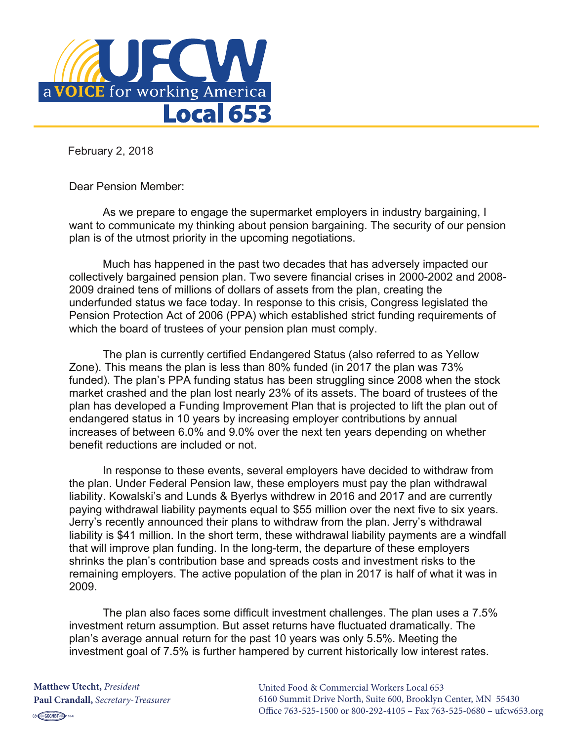

February 2, 2018

Dear Pension Member:

As we prepare to engage the supermarket employers in industry bargaining, I want to communicate my thinking about pension bargaining. The security of our pension plan is of the utmost priority in the upcoming negotiations.

Much has happened in the past two decades that has adversely impacted our collectively bargained pension plan. Two severe financial crises in 2000-2002 and 2008- 2009 drained tens of millions of dollars of assets from the plan, creating the underfunded status we face today. In response to this crisis, Congress legislated the Pension Protection Act of 2006 (PPA) which established strict funding requirements of which the board of trustees of your pension plan must comply.

The plan is currently certified Endangered Status (also referred to as Yellow Zone). This means the plan is less than 80% funded (in 2017 the plan was 73% funded). The plan's PPA funding status has been struggling since 2008 when the stock market crashed and the plan lost nearly 23% of its assets. The board of trustees of the plan has developed a Funding Improvement Plan that is projected to lift the plan out of endangered status in 10 years by increasing employer contributions by annual increases of between 6.0% and 9.0% over the next ten years depending on whether benefit reductions are included or not.

In response to these events, several employers have decided to withdraw from the plan. Under Federal Pension law, these employers must pay the plan withdrawal liability. Kowalski's and Lunds & Byerlys withdrew in 2016 and 2017 and are currently paying withdrawal liability payments equal to \$55 million over the next five to six years. Jerry's recently announced their plans to withdraw from the plan. Jerry's withdrawal liability is \$41 million. In the short term, these withdrawal liability payments are a windfall that will improve plan funding. In the long-term, the departure of these employers shrinks the plan's contribution base and spreads costs and investment risks to the remaining employers. The active population of the plan in 2017 is half of what it was in 2009.

The plan also faces some difficult investment challenges. The plan uses a 7.5% investment return assumption. But asset returns have fluctuated dramatically. The plan's average annual return for the past 10 years was only 5.5%. Meeting the investment goal of 7.5% is further hampered by current historically low interest rates.

**Matthew Utecht,** *President* **Paul Crandall,** *Secretary-Treasurer* United Food & Commercial Workers Local 653 6160 Summit Drive North, Suite 600, Brooklyn Center, MN 55430 Office 763-525-1500 or 800-292-4105 – Fax 763-525-0680 – ufcw653.org